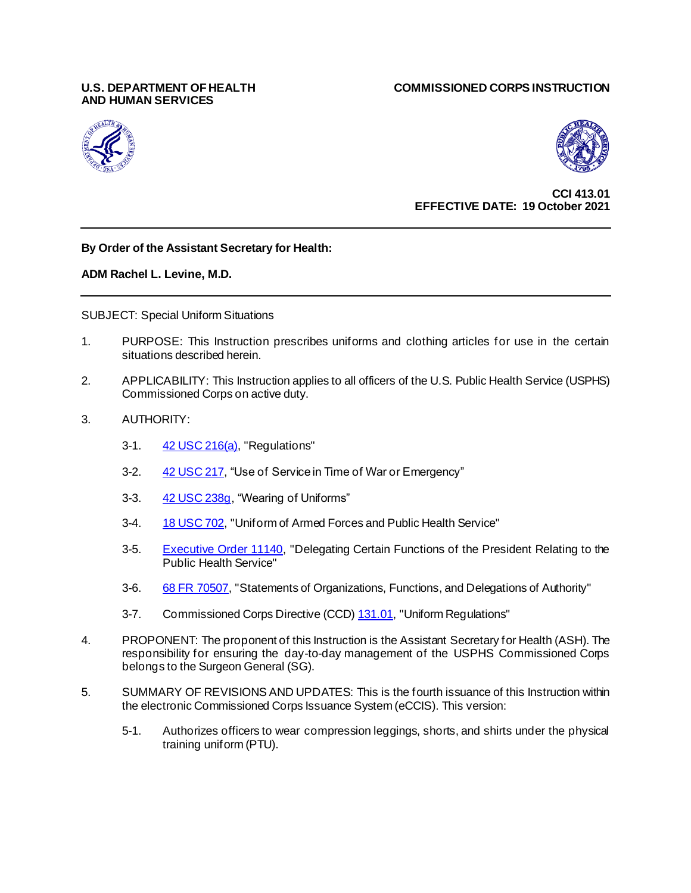# **AND HUMAN SERVICES**

#### **U.S. DEPARTMENT OF HEALTH COMMISSIONED CORPS INSTRUCTION**





**CCI 413.01 EFFECTIVE DATE: 19 October 2021**

#### **By Order of the Assistant Secretary for Health:**

#### **ADM Rachel L. Levine, M.D.**

SUBJECT: Special Uniform Situations

- 1. PURPOSE: This Instruction prescribes uniforms and clothing articles for use in the certain situations described herein.
- 2. APPLICABILITY: This Instruction applies to all officers of the U.S. Public Health Service (USPHS) Commissioned Corps on active duty.
- 3. AUTHORITY:
	- 3-1. [42 USC 216\(a\),](http://assembler.law.cornell.edu/uscode/html/uscode42/usc_sec_42_00000216----000-.html) "Regulations"
	- 3-2. [42 USC 217,](http://assembler.law.cornell.edu/uscode/html/uscode42/usc_sec_42_00000217----000-.html) "Use of Service in Time of War or Emergency"
	- 3-3. [42 USC 238g,](http://www.law.cornell.edu/uscode/text/42/238g) "Wearing of Uniforms"
	- 3-4. [18 USC 702,](http://assembler.law.cornell.edu/uscode/html/uscode18/usc_sec_18_00000702----000-.html) "Uniform of Armed Forces and Public Health Service"
	- 3-5. [Executive Order 11140,](http://www.archives.gov/federal-register/codification/executive-order/11140.html) "Delegating Certain Functions of the President Relating to the Public Health Service"
	- 3-6. [68 FR 70507,](http://edocket.access.gpo.gov/2003/pdf/E3-00588.pdf) "Statements of Organizations, Functions, and Delegations of Authority"
	- 3-7. Commissioned Corps Directive (CCD[\) 131.01](https://dcp.psc.gov/ccmis/ccis/documents/CCD_131.01.pdf), "Uniform Regulations"
- 4. PROPONENT: The proponent of this Instruction is the Assistant Secretary for Health (ASH). The responsibility for ensuring the day-to-day management of the USPHS Commissioned Corps belongs to the Surgeon General (SG).
- 5. SUMMARY OF REVISIONS AND UPDATES: This is the fourth issuance of this Instruction within the electronic Commissioned Corps Issuance System (eCCIS). This version:
	- 5-1. Authorizes officers to wear compression leggings, shorts, and shirts under the physical training uniform (PTU).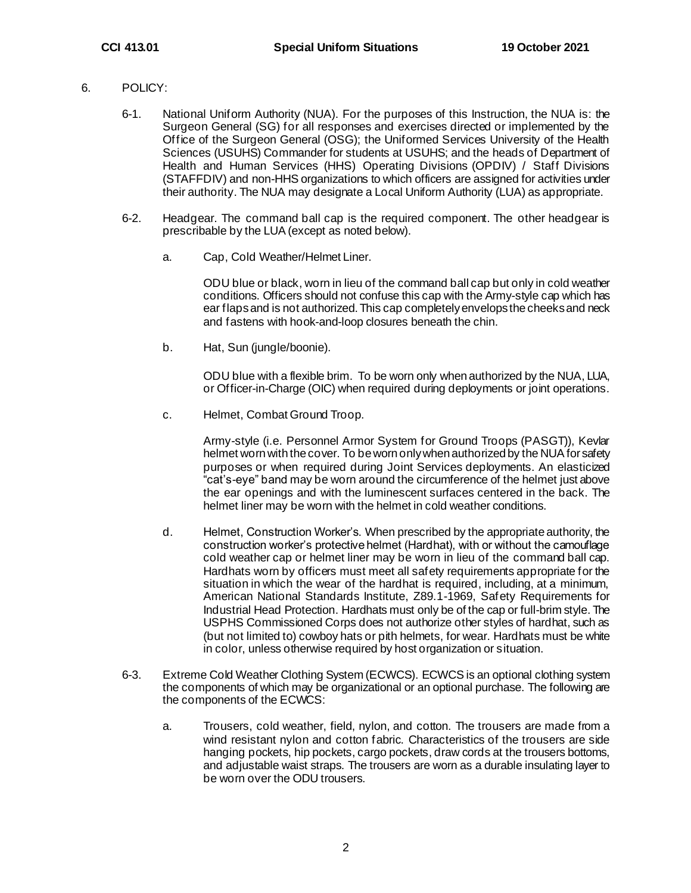- 6. POLICY:
	- 6-1. National Uniform Authority (NUA). For the purposes of this Instruction, the NUA is: the Surgeon General (SG) for all responses and exercises directed or implemented by the Office of the Surgeon General (OSG); the Uniformed Services University of the Health Sciences (USUHS) Commander for students at USUHS; and the heads of Department of Health and Human Services (HHS) Operating Divisions (OPDIV) / Staff Divisions (STAFFDIV) and non-HHS organizations to which officers are assigned for activities under their authority. The NUA may designate a Local Uniform Authority (LUA) as appropriate.
	- 6-2. Headgear. The command ball cap is the required component. The other headgear is prescribable by the LUA (except as noted below).
		- a. Cap, Cold Weather/Helmet Liner.

ODU blue or black, worn in lieu of the command ball cap but only in cold weather conditions. Officers should not confuse this cap with the Army-style cap which has ear flaps and is not authorized.This cap completely envelops the cheeks and neck and fastens with hook-and-loop closures beneath the chin.

b. Hat, Sun (jungle/boonie).

ODU blue with a flexible brim. To be worn only when authorized by the NUA, LUA, or Officer-in-Charge (OIC) when required during deployments or joint operations.

c. Helmet, Combat Ground Troop.

Army-style (i.e. Personnel Armor System for Ground Troops (PASGT)), Kevlar helmet worn with the cover. To be worn only when authorized by the NUA for safety purposes or when required during Joint Services deployments. An elasticized "cat's-eye" band may be worn around the circumference of the helmet just above the ear openings and with the luminescent surfaces centered in the back. The helmet liner may be worn with the helmet in cold weather conditions.

- d. Helmet, Construction Worker's. When prescribed by the appropriate authority, the construction worker's protective helmet (Hardhat), with or without the camouflage cold weather cap or helmet liner may be worn in lieu of the command ball cap. Hardhats worn by officers must meet all safety requirements appropriate for the situation in which the wear of the hardhat is required, including, at a minimum, American National Standards Institute, Z89.1-1969, Safety Requirements for Industrial Head Protection. Hardhats must only be of the cap or full-brim style. The USPHS Commissioned Corps does not authorize other styles of hardhat, such as (but not limited to) cowboy hats or pith helmets, for wear. Hardhats must be white in color, unless otherwise required by host organization or situation.
- 6-3. Extreme Cold Weather Clothing System (ECWCS). ECWCS is an optional clothing system the components of which may be organizational or an optional purchase. The following are the components of the ECWCS:
	- a. Trousers, cold weather, field, nylon, and cotton. The trousers are made from a wind resistant nylon and cotton fabric. Characteristics of the trousers are side hanging pockets, hip pockets, cargo pockets, draw cords at the trousers bottoms, and adjustable waist straps. The trousers are worn as a durable insulating layer to be worn over the ODU trousers.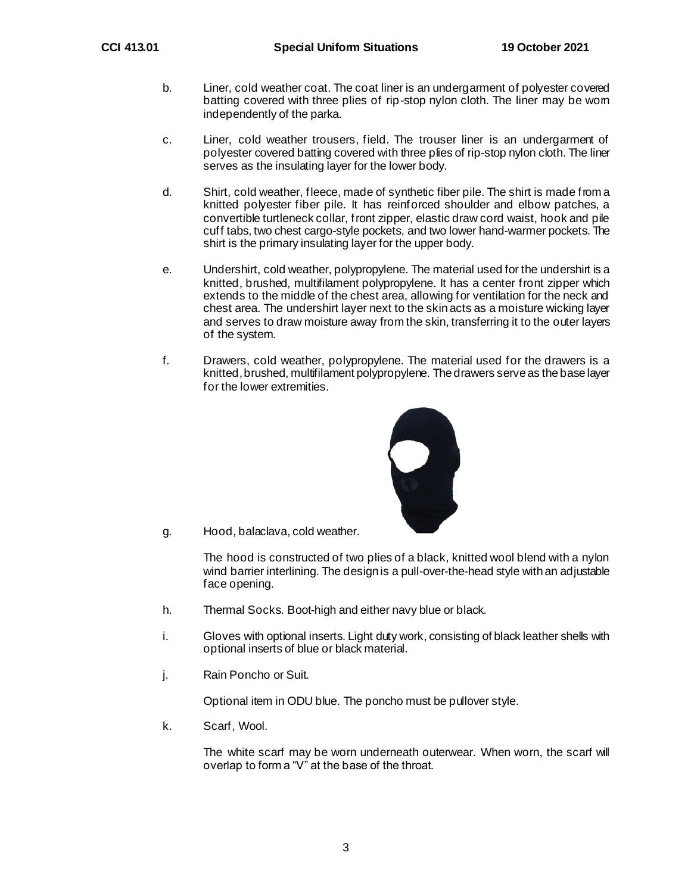- b. Liner, cold weather coat. The coat liner is an undergarment of polyester covered batting covered with three plies of rip-stop nylon cloth. The liner may be worn independently of the parka.
- c. Liner, cold weather trousers, field. The trouser liner is an undergarment of polyester covered batting covered with three plies of rip-stop nylon cloth. The liner serves as the insulating layer for the lower body.
- d. Shirt, cold weather, fleece, made of synthetic fiber pile. The shirt is made from a knitted polyester fiber pile. It has reinforced shoulder and elbow patches, a convertible turtleneck collar, front zipper, elastic draw cord waist, hook and pile cuff tabs, two chest cargo-style pockets, and two lower hand-warmer pockets. The shirt is the primary insulating layer for the upper body.
- e. Undershirt, cold weather, polypropylene. The material used for the undershirt is a knitted, brushed, multifilament polypropylene. It has a center front zipper which extends to the middle of the chest area, allowing for ventilation for the neck and chest area. The undershirt layer next to the skin acts as a moisture wicking layer and serves to draw moisture away from the skin, transferring it to the outer layers of the system.
- f. Drawers, cold weather, polypropylene. The material used for the drawers is a knitted, brushed, multifilament polypropylene. The drawers serve as the base layer for the lower extremities.



g. Hood, balaclava, cold weather.

The hood is constructed of two plies of a black, knitted wool blend with a nylon wind barrier interlining. The design is a pull-over-the-head style with an adjustable face opening.

- h. Thermal Socks. Boot-high and either navy blue or black.
- i. Gloves with optional inserts. Light duty work, consisting of black leather shells with optional inserts of blue or black material.
- j. Rain Poncho or Suit.

Optional item in ODU blue. The poncho must be pullover style.

k. Scarf, Wool.

The white scarf may be worn underneath outerwear. When worn, the scarf will overlap to form a "V" at the base of the throat.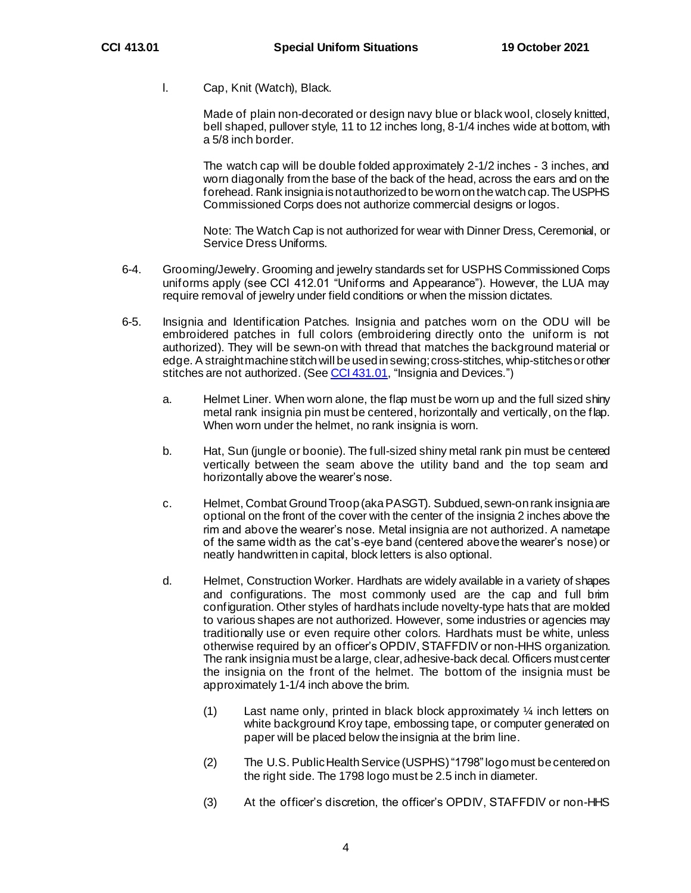l. Cap, Knit (Watch), Black.

Made of plain non-decorated or design navy blue or black wool, closely knitted, bell shaped, pullover style, 11 to 12 inches long, 8-1/4 inches wide at bottom, with a 5/8 inch border.

The watch cap will be double folded approximately 2-1/2 inches - 3 inches, and worn diagonally from the base of the back of the head, across the ears and on the forehead. Rank insignia is not authorized to be worn on the watch cap.The USPHS Commissioned Corps does not authorize commercial designs or logos.

Note: The Watch Cap is not authorized for wear with Dinner Dress, Ceremonial, or Service Dress Uniforms.

- 6-4. Grooming/Jewelry. Grooming and jewelry standards set for USPHS Commissioned Corps uniforms apply (see CCI 412.01 "Uniforms and Appearance"). However, the LUA may require removal of jewelry under field conditions or when the mission dictates.
- 6-5. Insignia and Identification Patches. Insignia and patches worn on the ODU will be embroidered patches in full colors (embroidering directly onto the uniform is not authorized). They will be sewn-on with thread that matches the background material or edge. A straight machine stitch will be used in sewing; cross-stitches, whip-stitches or other stitches are not authorized. (Se[e CCI 431.01,](https://dcp.psc.gov/ccmis/ccis/documents/CCI_431.01.pdf) "Insignia and Devices.")
	- a. Helmet Liner. When worn alone, the flap must be worn up and the full sized shiny metal rank insignia pin must be centered, horizontally and vertically, on the flap. When worn under the helmet, no rank insignia is worn.
	- b. Hat, Sun (jungle or boonie). The full-sized shiny metal rank pin must be centered vertically between the seam above the utility band and the top seam and horizontally above the wearer's nose.
	- c. Helmet, Combat Ground Troop (aka PASGT). Subdued, sewn-on rank insignia are optional on the front of the cover with the center of the insignia 2 inches above the rim and above the wearer's nose. Metal insignia are not authorized. A nametape of the same width as the cat's-eye band (centered above the wearer's nose) or neatly handwritten in capital, block letters is also optional.
	- d. Helmet, Construction Worker. Hardhats are widely available in a variety of shapes and configurations. The most commonly used are the cap and full brim configuration. Other styles of hardhats include novelty-type hats that are molded to various shapes are not authorized. However, some industries or agencies may traditionally use or even require other colors. Hardhats must be white, unless otherwise required by an officer's OPDIV, STAFFDIV or non-HHS organization. The rank insignia must be alarge, clear, adhesive-back decal. Officers must center the insignia on the front of the helmet. The bottom of the insignia must be approximately 1-1/4 inch above the brim.
		- (1) Last name only, printed in black block approximately  $\frac{1}{4}$  inch letters on white background Kroy tape, embossing tape, or computer generated on paper will be placed below the insignia at the brim line.
		- (2) The U.S. Public Health Service (USPHS)"1798" logo must be centered on the right side. The 1798 logo must be 2.5 inch in diameter.
		- (3) At the officer's discretion, the officer's OPDIV, STAFFDIV or non-HHS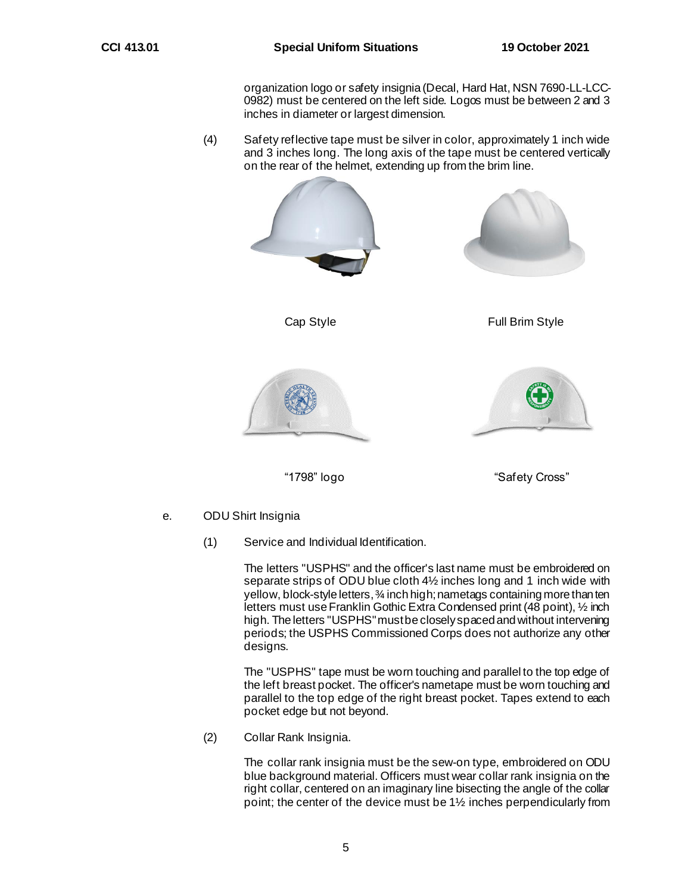organization logo or safety insignia (Decal, Hard Hat, NSN 7690-LL-LCC-0982) must be centered on the left side. Logos must be between 2 and 3 inches in diameter or largest dimension.

(4) Safety reflective tape must be silver in color, approximately 1 inch wide and 3 inches long. The long axis of the tape must be centered vertically on the rear of the helmet, extending up from the brim line.



e. ODU Shirt Insignia

(1) Service and Individual Identification.

The letters "USPHS" and the officer's last name must be embroidered on separate strips of ODU blue cloth 41/2 inches long and 1 inch wide with yellow, block-style letters, ¾ inch high; nametags containing more than ten letters must use Franklin Gothic Extra Condensed print (48 point), ½ inch high. The letters "USPHS" must be closely spaced and without intervening periods; the USPHS Commissioned Corps does not authorize any other designs.

The "USPHS" tape must be worn touching and parallel to the top edge of the left breast pocket. The officer's nametape must be worn touching and parallel to the top edge of the right breast pocket. Tapes extend to each pocket edge but not beyond.

(2) Collar Rank Insignia.

The collar rank insignia must be the sew-on type, embroidered on ODU blue background material. Officers must wear collar rank insignia on the right collar, centered on an imaginary line bisecting the angle of the collar point; the center of the device must be 1½ inches perpendicularly from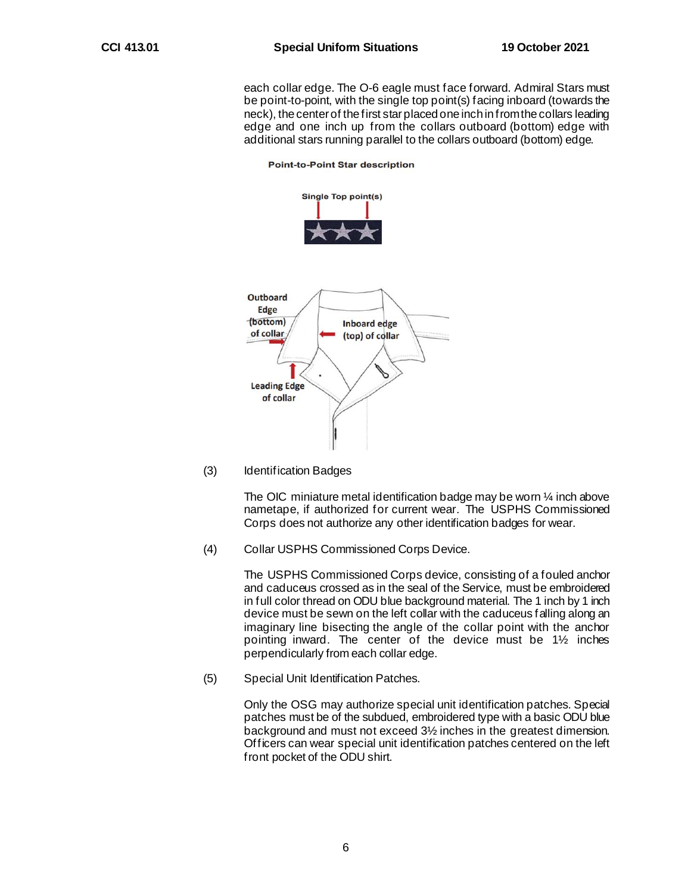each collar edge. The O-6 eagle must face forward. Admiral Stars must be point-to-point, with the single top point(s) facing inboard (towards the neck), the center of the first star placed one inch in from the collars leading edge and one inch up from the collars outboard (bottom) edge with additional stars running parallel to the collars outboard (bottom) edge.



#### **Point-to-Point Star description**

(3) Identification Badges

The OIC miniature metal identification badge may be worn ¼ inch above nametape, if authorized for current wear. The USPHS Commissioned Corps does not authorize any other identification badges for wear.

(4) Collar USPHS Commissioned Corps Device.

The USPHS Commissioned Corps device, consisting of a fouled anchor and caduceus crossed as in the seal of the Service, must be embroidered in full color thread on ODU blue background material. The 1 inch by 1 inch device must be sewn on the left collar with the caduceus falling along an imaginary line bisecting the angle of the collar point with the anchor pointing inward. The center of the device must be 1½ inches perpendicularly from each collar edge.

(5) Special Unit Identification Patches.

Only the OSG may authorize special unit identification patches. Special patches must be of the subdued, embroidered type with a basic ODU blue background and must not exceed 3½ inches in the greatest dimension. Officers can wear special unit identification patches centered on the left front pocket of the ODU shirt.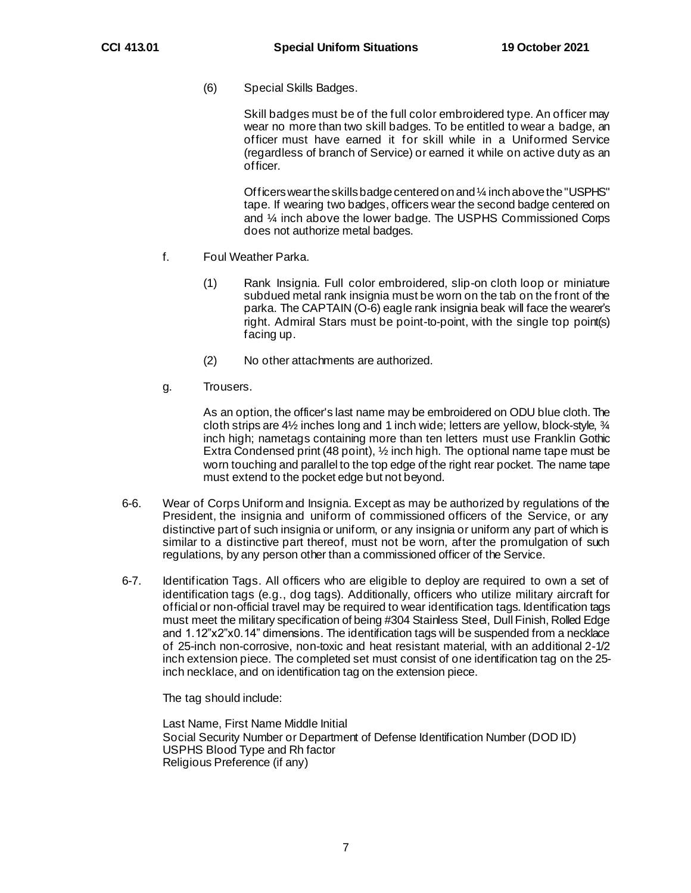(6) Special Skills Badges.

Skill badges must be of the full color embroidered type. An officer may wear no more than two skill badges. To be entitled to wear a badge, an officer must have earned it for skill while in a Uniformed Service (regardless of branch of Service) or earned it while on active duty as an officer.

Officers wear the skills badge centered on and ¼ inch above the "USPHS" tape. If wearing two badges, officers wear the second badge centered on and ¼ inch above the lower badge. The USPHS Commissioned Corps does not authorize metal badges.

- f. Foul Weather Parka.
	- (1) Rank Insignia. Full color embroidered, slip-on cloth loop or miniature subdued metal rank insignia must be worn on the tab on the front of the parka. The CAPTAIN (O-6) eagle rank insignia beak will face the wearer's right. Admiral Stars must be point-to-point, with the single top point(s) facing up.
	- (2) No other attachments are authorized.
- g. Trousers.

As an option, the officer's last name may be embroidered on ODU blue cloth. The cloth strips are 4½ inches long and 1 inch wide; letters are yellow, block-style, ¾ inch high; nametags containing more than ten letters must use Franklin Gothic Extra Condensed print (48 point), ½ inch high. The optional name tape must be worn touching and parallel to the top edge of the right rear pocket. The name tape must extend to the pocket edge but not beyond.

- 6-6. Wear of Corps Uniform and Insignia. Except as may be authorized by regulations of the President, the insignia and uniform of commissioned officers of the Service, or any distinctive part of such insignia or uniform, or any insignia or uniform any part of which is similar to a distinctive part thereof, must not be worn, after the promulgation of such regulations, by any person other than a commissioned officer of the Service.
- 6-7. Identification Tags. All officers who are eligible to deploy are required to own a set of identification tags (e.g., dog tags). Additionally, officers who utilize military aircraft for official or non-official travel may be required to wear identification tags. Identification tags must meet the military specification of being #304 Stainless Steel, Dull Finish, Rolled Edge and 1.12"x2"x0.14" dimensions. The identification tags will be suspended from a necklace of 25-inch non-corrosive, non-toxic and heat resistant material, with an additional 2-1/2 inch extension piece. The completed set must consist of one identification tag on the 25 inch necklace, and on identification tag on the extension piece.

The tag should include:

Last Name, First Name Middle Initial Social Security Number or Department of Defense Identification Number (DOD ID) USPHS Blood Type and Rh factor Religious Preference (if any)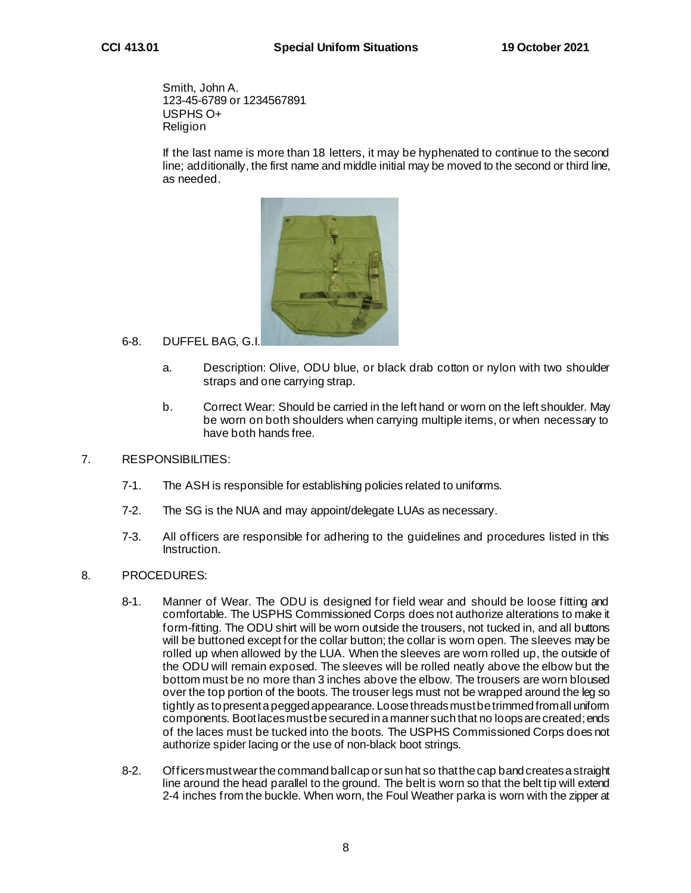Smith, John A. 123-45-6789 or 1234567891 USPHS O+ Religion

If the last name is more than 18 letters, it may be hyphenated to continue to the second line; additionally, the first name and middle initial may be moved to the second or third line, as needed.



### 6-8. DUFFEL BAG, G.I.

- a. Description: Olive, ODU blue, or black drab cotton or nylon with two shoulder straps and one carrying strap.
- b. Correct Wear: Should be carried in the left hand or worn on the left shoulder. May be worn on both shoulders when carrying multiple items, or when necessary to have both hands free.

#### 7. RESPONSIBILITIES:

- 7-1. The ASH is responsible for establishing policies related to uniforms.
- 7-2. The SG is the NUA and may appoint/delegate LUAs as necessary.
- 7-3. All officers are responsible for adhering to the guidelines and procedures listed in this Instruction.

#### 8. PROCEDURES:

- 8-1. Manner of Wear. The ODU is designed for field wear and should be loose fitting and comfortable. The USPHS Commissioned Corps does not authorize alterations to make it form-fitting. The ODU shirt will be worn outside the trousers, not tucked in, and all buttons will be buttoned except for the collar button; the collar is worn open. The sleeves may be rolled up when allowed by the LUA. When the sleeves are worn rolled up, the outside of the ODU will remain exposed. The sleeves will be rolled neatly above the elbow but the bottom must be no more than 3 inches above the elbow. The trousers are worn bloused over the top portion of the boots. The trouser legs must not be wrapped around the leg so tightly as to present a pegged appearance. Loose threads must be trimmed from all uniform components. Boot laces must be secured in a manner such that no loops are created; ends of the laces must be tucked into the boots. The USPHS Commissioned Corps does not authorize spider lacing or the use of non-black boot strings.
- 8-2. Officers must wear the command ball cap or sun hat so that the cap band creates a straight line around the head parallel to the ground. The belt is worn so that the belt tip will extend 2-4 inches from the buckle. When worn, the Foul Weather parka is worn with the zipper at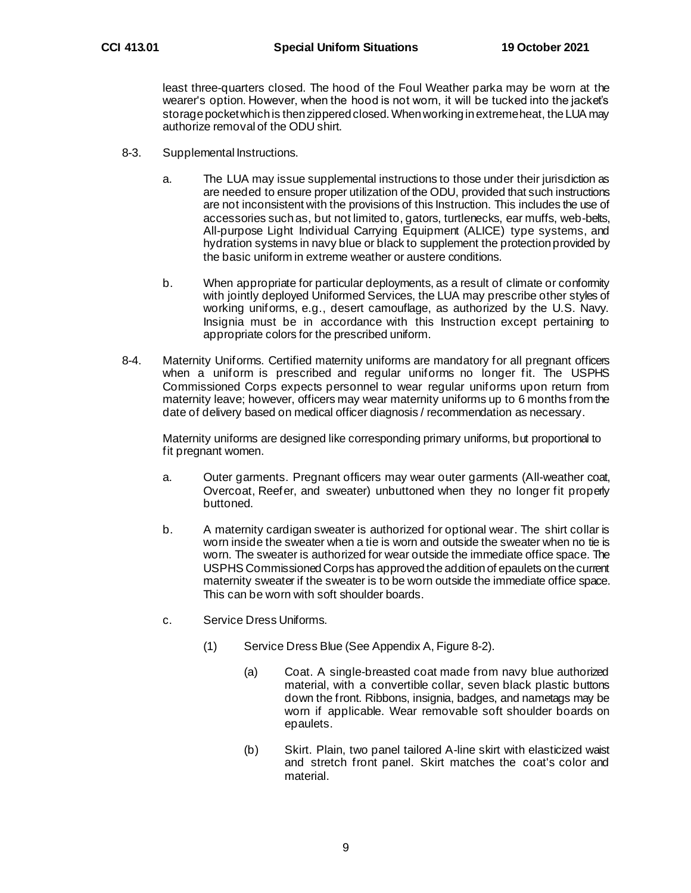least three-quarters closed. The hood of the Foul Weather parka may be worn at the wearer's option. However, when the hood is not worn, it will be tucked into the jacket's storage pocket which is then zippered closed.When working in extreme heat, the LUA may authorize removal of the ODU shirt.

- 8-3. Supplemental Instructions.
	- a. The LUA may issue supplemental instructions to those under their jurisdiction as are needed to ensure proper utilization of the ODU, provided that such instructions are not inconsistent with the provisions of this Instruction. This includes the use of accessories such as, but not limited to, gators, turtlenecks, ear muffs, web-belts, All-purpose Light Individual Carrying Equipment (ALICE) type systems, and hydration systems in navy blue or black to supplement the protection provided by the basic uniform in extreme weather or austere conditions.
	- b. When appropriate for particular deployments, as a result of climate or conformity with jointly deployed Uniformed Services, the LUA may prescribe other styles of working uniforms, e.g., desert camouflage, as authorized by the U.S. Navy. Insignia must be in accordance with this Instruction except pertaining to appropriate colors for the prescribed uniform.
- 8-4. Maternity Uniforms. Certified maternity uniforms are mandatory for all pregnant officers when a uniform is prescribed and regular uniforms no longer fit. The USPHS Commissioned Corps expects personnel to wear regular uniforms upon return from maternity leave; however, officers may wear maternity uniforms up to 6 months from the date of delivery based on medical officer diagnosis / recommendation as necessary.

Maternity uniforms are designed like corresponding primary uniforms, but proportional to fit pregnant women.

- a. Outer garments. Pregnant officers may wear outer garments (All-weather coat, Overcoat, Reefer, and sweater) unbuttoned when they no longer fit properly buttoned.
- b. A maternity cardigan sweater is authorized for optional wear. The shirt collar is worn inside the sweater when a tie is worn and outside the sweater when no tie is worn. The sweater is authorized for wear outside the immediate office space. The USPHS Commissioned Corps has approved the addition of epaulets on the current maternity sweater if the sweater is to be worn outside the immediate office space. This can be worn with soft shoulder boards.
- c. Service Dress Uniforms.
	- (1) Service Dress Blue (See Appendix A, Figure 8-2).
		- (a) Coat. A single-breasted coat made from navy blue authorized material, with a convertible collar, seven black plastic buttons down the front. Ribbons, insignia, badges, and nametags may be worn if applicable. Wear removable soft shoulder boards on epaulets.
		- (b) Skirt. Plain, two panel tailored A-line skirt with elasticized waist and stretch front panel. Skirt matches the coat's color and material.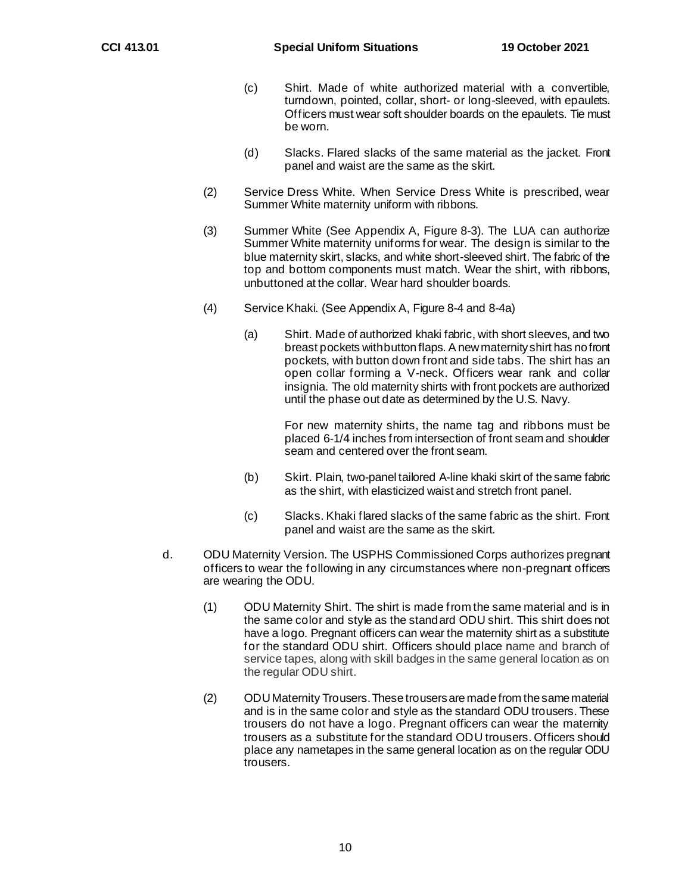- (c) Shirt. Made of white authorized material with a convertible, turndown, pointed, collar, short- or long-sleeved, with epaulets. Officers must wear soft shoulder boards on the epaulets. Tie must be worn.
- (d) Slacks. Flared slacks of the same material as the jacket. Front panel and waist are the same as the skirt.
- (2) Service Dress White. When Service Dress White is prescribed, wear Summer White maternity uniform with ribbons.
- (3) Summer White (See Appendix A, Figure 8-3). The LUA can authorize Summer White maternity uniforms for wear. The design is similar to the blue maternity skirt, slacks, and white short-sleeved shirt. The fabric of the top and bottom components must match. Wear the shirt, with ribbons, unbuttoned at the collar. Wear hard shoulder boards.
- (4) Service Khaki. (See Appendix A, Figure 8-4 and 8-4a)
	- (a) Shirt. Made of authorized khaki fabric, with short sleeves, and two breast pockets with button flaps. A new maternity shirt has no front pockets, with button down front and side tabs. The shirt has an open collar forming a V-neck. Officers wear rank and collar insignia. The old maternity shirts with front pockets are authorized until the phase out date as determined by the U.S. Navy.

For new maternity shirts, the name tag and ribbons must be placed 6-1/4 inches from intersection of front seam and shoulder seam and centered over the front seam.

- (b) Skirt. Plain, two-panel tailored A-line khaki skirt of the same fabric as the shirt, with elasticized waist and stretch front panel.
- (c) Slacks. Khaki flared slacks of the same fabric as the shirt. Front panel and waist are the same as the skirt.
- d. ODU Maternity Version. The USPHS Commissioned Corps authorizes pregnant officers to wear the following in any circumstances where non-pregnant officers are wearing the ODU.
	- (1) ODU Maternity Shirt. The shirt is made from the same material and is in the same color and style as the standard ODU shirt. This shirt does not have a logo. Pregnant officers can wear the maternity shirt as a substitute for the standard ODU shirt. Officers should place name and branch of service tapes, along with skill badges in the same general location as on the regular ODU shirt.
	- (2) ODU Maternity Trousers. These trousers are made from the same material and is in the same color and style as the standard ODU trousers. These trousers do not have a logo. Pregnant officers can wear the maternity trousers as a substitute for the standard ODU trousers. Officers should place any nametapes in the same general location as on the regular ODU trousers.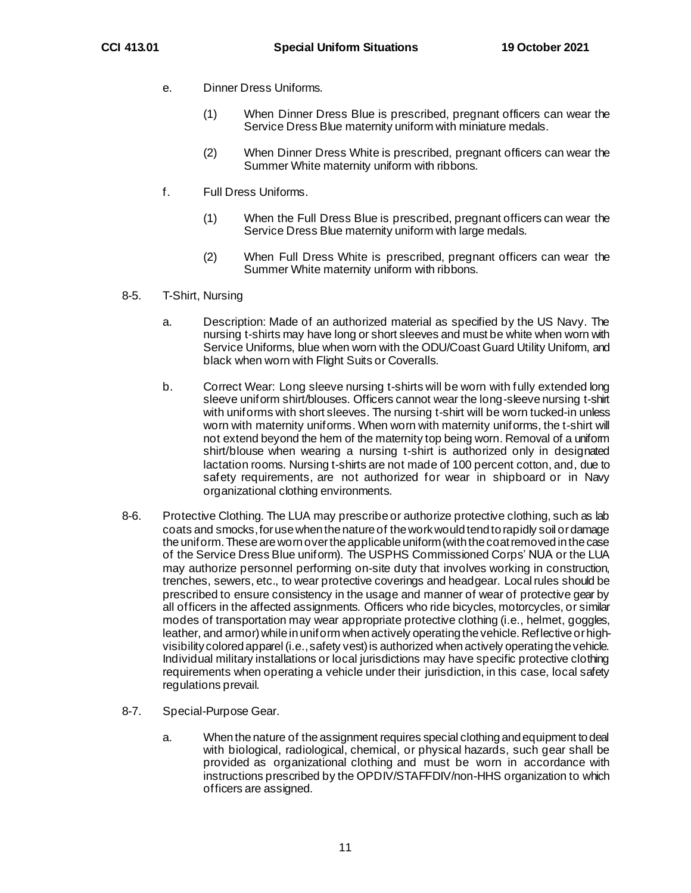- e. Dinner Dress Uniforms.
	- (1) When Dinner Dress Blue is prescribed, pregnant officers can wear the Service Dress Blue maternity uniform with miniature medals.
	- (2) When Dinner Dress White is prescribed, pregnant officers can wear the Summer White maternity uniform with ribbons.
- f. Full Dress Uniforms.
	- (1) When the Full Dress Blue is prescribed, pregnant officers can wear the Service Dress Blue maternity uniform with large medals.
	- (2) When Full Dress White is prescribed, pregnant officers can wear the Summer White maternity uniform with ribbons.
- 8-5. T-Shirt, Nursing
	- a. Description: Made of an authorized material as specified by the US Navy. The nursing t-shirts may have long or short sleeves and must be white when worn with Service Uniforms, blue when worn with the ODU/Coast Guard Utility Uniform, and black when worn with Flight Suits or Coveralls.
	- b. Correct Wear: Long sleeve nursing t-shirts will be worn with fully extended long sleeve uniform shirt/blouses. Officers cannot wear the long-sleeve nursing t-shirt with uniforms with short sleeves. The nursing t-shirt will be worn tucked-in unless worn with maternity uniforms. When worn with maternity uniforms, the t-shirt will not extend beyond the hem of the maternity top being worn. Removal of a uniform shirt/blouse when wearing a nursing t-shirt is authorized only in designated lactation rooms. Nursing t-shirts are not made of 100 percent cotton, and, due to safety requirements, are not authorized for wear in shipboard or in Navy organizational clothing environments.
- 8-6. Protective Clothing. The LUA may prescribe or authorize protective clothing, such as lab coats and smocks,for use when the nature of the work would tend to rapidly soil or damage the uniform.These are worn over the applicable uniform (with the coat removed in the case of the Service Dress Blue uniform). The USPHS Commissioned Corps' NUA or the LUA may authorize personnel performing on-site duty that involves working in construction, trenches, sewers, etc., to wear protective coverings and headgear. Local rules should be prescribed to ensure consistency in the usage and manner of wear of protective gear by all officers in the affected assignments. Officers who ride bicycles, motorcycles, or similar modes of transportation may wear appropriate protective clothing (i.e., helmet, goggles, leather, and armor) while in uniform when actively operating the vehicle. Reflective or highvisibility colored apparel (i.e., safety vest) is authorized when actively operating the vehicle. Individual military installations or local jurisdictions may have specific protective clothing requirements when operating a vehicle under their jurisdiction, in this case, local safety regulations prevail.
- 8-7. Special-Purpose Gear.
	- a. When the nature of the assignment requires special clothing and equipment to deal with biological, radiological, chemical, or physical hazards, such gear shall be provided as organizational clothing and must be worn in accordance with instructions prescribed by the OPDIV/STAFFDIV/non-HHS organization to which officers are assigned.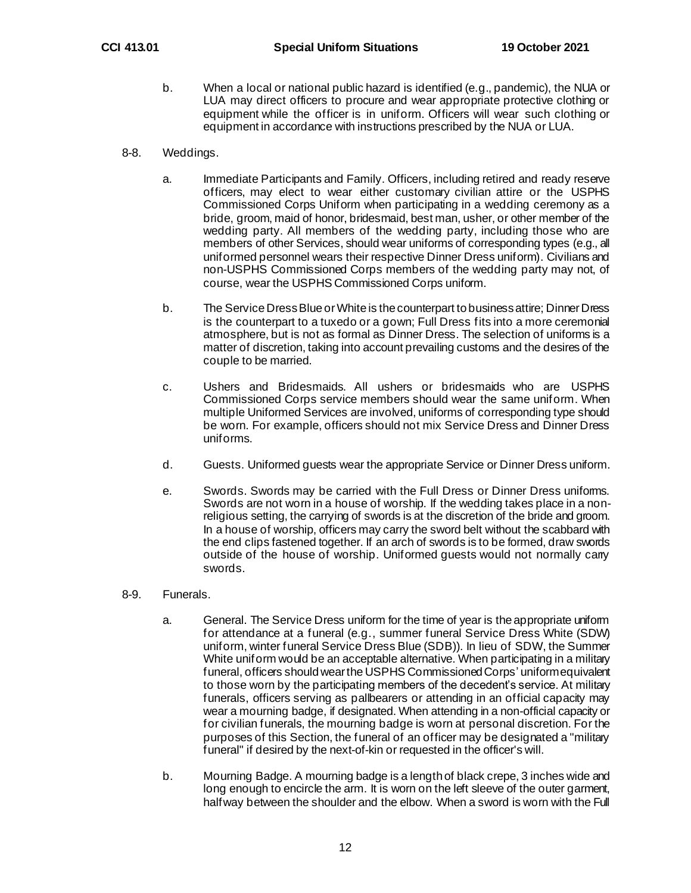- b. When a local or national public hazard is identified (e.g., pandemic), the NUA or LUA may direct officers to procure and wear appropriate protective clothing or equipment while the officer is in uniform. Officers will wear such clothing or equipment in accordance with instructions prescribed by the NUA or LUA.
- 8-8. Weddings.
	- a. Immediate Participants and Family. Officers, including retired and ready reserve officers, may elect to wear either customary civilian attire or the USPHS Commissioned Corps Uniform when participating in a wedding ceremony as a bride, groom, maid of honor, bridesmaid, best man, usher, or other member of the wedding party. All members of the wedding party, including those who are members of other Services, should wear uniforms of corresponding types (e.g., all uniformed personnel wears their respective Dinner Dress uniform). Civilians and non-USPHS Commissioned Corps members of the wedding party may not, of course, wear the USPHS Commissioned Corps uniform.
	- b. The Service Dress Blue or White is the counterpart to business attire; Dinner Dress is the counterpart to a tuxedo or a gown; Full Dress fits into a more ceremonial atmosphere, but is not as formal as Dinner Dress. The selection of uniforms is a matter of discretion, taking into account prevailing customs and the desires of the couple to be married.
	- c. Ushers and Bridesmaids. All ushers or bridesmaids who are USPHS Commissioned Corps service members should wear the same uniform. When multiple Uniformed Services are involved, uniforms of corresponding type should be worn. For example, officers should not mix Service Dress and Dinner Dress uniforms.
	- d. Guests. Uniformed guests wear the appropriate Service or Dinner Dress uniform.
	- e. Swords. Swords may be carried with the Full Dress or Dinner Dress uniforms. Swords are not worn in a house of worship. If the wedding takes place in a nonreligious setting, the carrying of swords is at the discretion of the bride and groom. In a house of worship, officers may carry the sword belt without the scabbard with the end clips fastened together. If an arch of swords is to be formed, draw swords outside of the house of worship. Uniformed guests would not normally cany swords.
- 8-9. Funerals.
	- a. General. The Service Dress uniform for the time of year is the appropriate uniform for attendance at a funeral (e.g., summer funeral Service Dress White (SDW) uniform, winter funeral Service Dress Blue (SDB)). In lieu of SDW, the Summer White uniform would be an acceptable alternative. When participating in a military funeral, officers should wear the USPHS Commissioned Corps' uniform equivalent to those worn by the participating members of the decedent's service. At military funerals, officers serving as pallbearers or attending in an official capacity may wear a mourning badge, if designated. When attending in a non-official capacity or for civilian funerals, the mourning badge is worn at personal discretion. For the purposes of this Section, the funeral of an officer may be designated a "military funeral" if desired by the next-of-kin or requested in the officer's will.
	- b. Mourning Badge. A mourning badge is a length of black crepe, 3 inches wide and long enough to encircle the arm. It is worn on the left sleeve of the outer garment, halfway between the shoulder and the elbow. When a sword is worn with the Full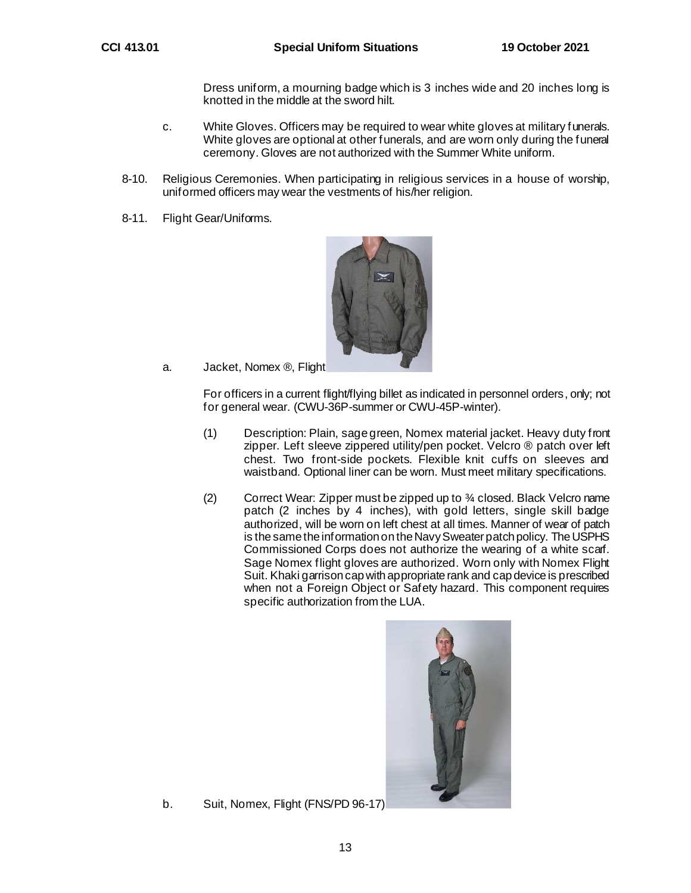Dress uniform, a mourning badge which is 3 inches wide and 20 inches long is knotted in the middle at the sword hilt.

- c. White Gloves. Officers may be required to wear white gloves at military funerals. White gloves are optional at other funerals, and are worn only during the funeral ceremony. Gloves are not authorized with the Summer White uniform.
- 8-10. Religious Ceremonies. When participating in religious services in a house of worship, uniformed officers may wear the vestments of his/her religion.
- 8-11. Flight Gear/Uniforms.



a. Jacket, Nomex ®, Flight

For officers in a current flight/flying billet as indicated in personnel orders, only; not for general wear. (CWU-36P-summer or CWU-45P-winter).

- (1) Description: Plain, sage green, Nomex material jacket. Heavy duty front zipper. Left sleeve zippered utility/pen pocket. Velcro ® patch over left chest. Two front-side pockets. Flexible knit cuffs on sleeves and waistband. Optional liner can be worn. Must meet military specifications.
- (2) Correct Wear: Zipper must be zipped up to ¾ closed. Black Velcro name patch (2 inches by 4 inches), with gold letters, single skill badge authorized, will be worn on left chest at all times. Manner of wear of patch is the same the information on the Navy Sweater patch policy. The USPHS Commissioned Corps does not authorize the wearing of a white scarf. Sage Nomex flight gloves are authorized. Worn only with Nomex Flight Suit. Khaki garrison cap with appropriate rank and cap device is prescribed when not a Foreign Object or Safety hazard. This component requires specific authorization from the LUA.



b. Suit, Nomex, Flight (FNS/PD 96-17)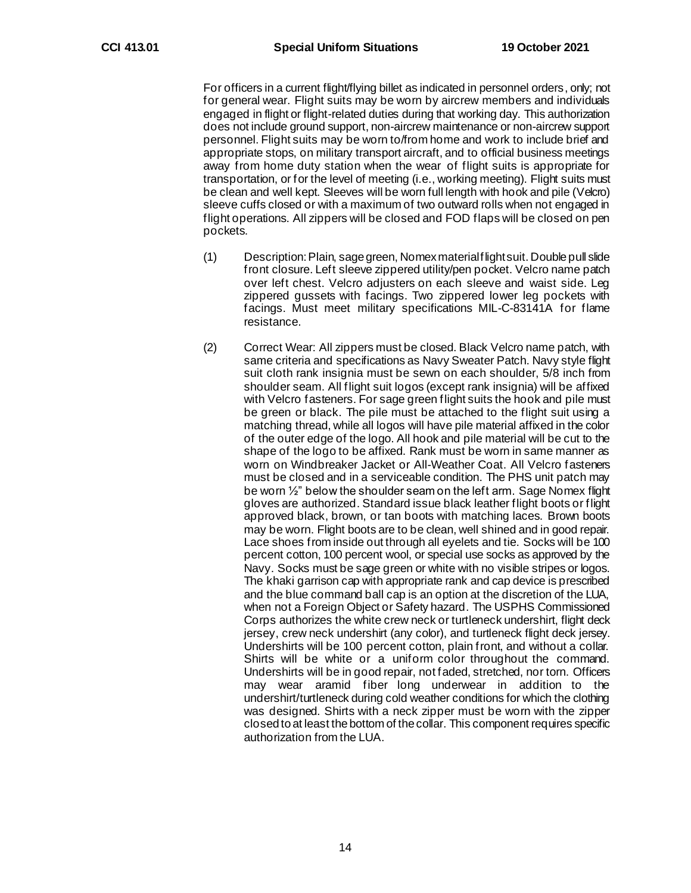For officers in a current flight/flying billet as indicated in personnel orders, only; not for general wear. Flight suits may be worn by aircrew members and individuals engaged in flight or flight-related duties during that working day. This authorization does not include ground support, non-aircrew maintenance or non-aircrew support personnel. Flight suits may be worn to/from home and work to include brief and appropriate stops, on military transport aircraft, and to official business meetings away from home duty station when the wear of flight suits is appropriate for transportation, or for the level of meeting (i.e., working meeting). Flight suits must be clean and well kept. Sleeves will be worn full length with hook and pile (Velcro) sleeve cuffs closed or with a maximum of two outward rolls when not engaged in flight operations. All zippers will be closed and FOD flaps will be closed on pen pockets.

- (1) Description:Plain, sage green, Nomex material flight suit. Double pull slide front closure. Left sleeve zippered utility/pen pocket. Velcro name patch over left chest. Velcro adjusters on each sleeve and waist side. Leg zippered gussets with facings. Two zippered lower leg pockets with facings. Must meet military specifications MIL-C-83141A for flame resistance.
- (2) Correct Wear: All zippers must be closed. Black Velcro name patch, with same criteria and specifications as Navy Sweater Patch. Navy style flight suit cloth rank insignia must be sewn on each shoulder, 5/8 inch from shoulder seam. All flight suit logos (except rank insignia) will be affixed with Velcro fasteners. For sage green flight suits the hook and pile must be green or black. The pile must be attached to the flight suit using a matching thread, while all logos will have pile material affixed in the color of the outer edge of the logo. All hook and pile material will be cut to the shape of the logo to be affixed. Rank must be worn in same manner as worn on Windbreaker Jacket or All-Weather Coat. All Velcro fasteners must be closed and in a serviceable condition. The PHS unit patch may be worn ½" below the shoulder seam on the left arm. Sage Nomex flight gloves are authorized. Standard issue black leather flight boots or flight approved black, brown, or tan boots with matching laces. Brown boots may be worn. Flight boots are to be clean, well shined and in good repair. Lace shoes from inside out through all eyelets and tie. Socks will be 100 percent cotton, 100 percent wool, or special use socks as approved by the Navy. Socks must be sage green or white with no visible stripes or logos. The khaki garrison cap with appropriate rank and cap device is prescribed and the blue command ball cap is an option at the discretion of the LUA, when not a Foreign Object or Safety hazard. The USPHS Commissioned Corps authorizes the white crew neck or turtleneck undershirt, flight deck jersey, crew neck undershirt (any color), and turtleneck flight deck jersey. Undershirts will be 100 percent cotton, plain front, and without a collar. Shirts will be white or a uniform color throughout the command. Undershirts will be in good repair, not faded, stretched, nor torn. Officers may wear aramid fiber long underwear in addition to the undershirt/turtleneck during cold weather conditions for which the clothing was designed. Shirts with a neck zipper must be worn with the zipper closed to at least the bottom of the collar. This component requires specific authorization from the LUA.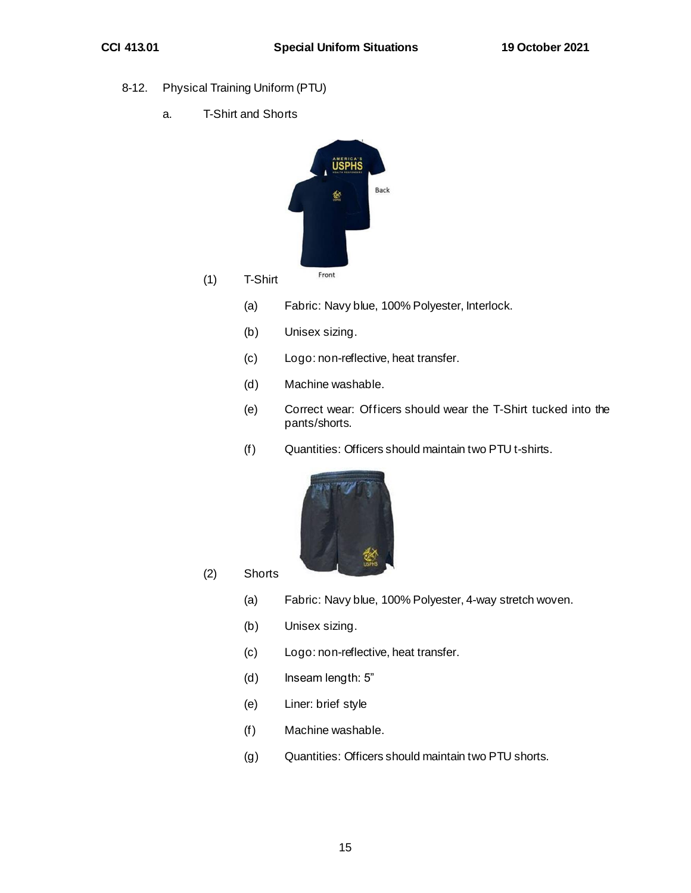- 8-12. Physical Training Uniform (PTU)
	- a. T-Shirt and Shorts



- (a) Fabric: Navy blue, 100% Polyester, Interlock.
	- (b) Unisex sizing.
	- (c) Logo: non-reflective, heat transfer.
	- (d) Machine washable.
	- (e) Correct wear: Officers should wear the T-Shirt tucked into the pants/shorts.
	- (f) Quantities: Officers should maintain two PTU t-shirts.



- (2) Shorts
	- (a) Fabric: Navy blue, 100% Polyester, 4-way stretch woven.
	- (b) Unisex sizing.
	- (c) Logo: non-reflective, heat transfer.
	- (d) Inseam length: 5"
	- (e) Liner: brief style
	- (f) Machine washable.
	- (g) Quantities: Officers should maintain two PTU shorts.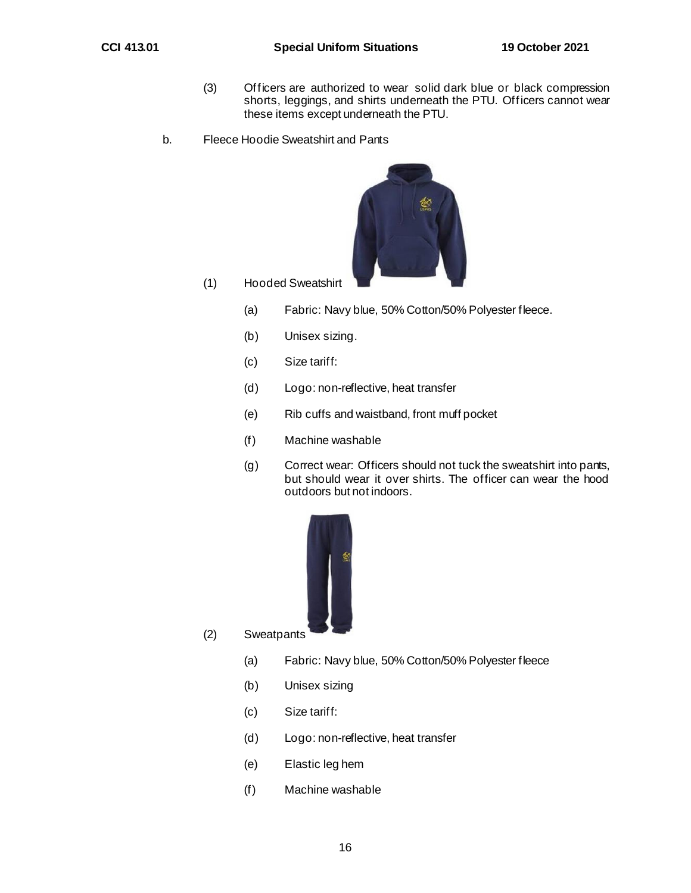- (3) Officers are authorized to wear solid dark blue or black compression shorts, leggings, and shirts underneath the PTU. Officers cannot wear these items except underneath the PTU.
- b. Fleece Hoodie Sweatshirt and Pants



- (1) Hooded Sweatshirt
	- (a) Fabric: Navy blue, 50% Cotton/50% Polyester fleece.
	- (b) Unisex sizing.
	- (c) Size tariff:
	- (d) Logo: non-reflective, heat transfer
	- (e) Rib cuffs and waistband, front muff pocket
	- (f) Machine washable
	- (g) Correct wear: Officers should not tuck the sweatshirt into pants, but should wear it over shirts. The officer can wear the hood outdoors but not indoors.



- (2) Sweatpants
	- (a) Fabric: Navy blue, 50% Cotton/50% Polyester fleece
	- (b) Unisex sizing
	- (c) Size tariff:
	- (d) Logo: non-reflective, heat transfer
	- (e) Elastic leg hem
	- (f) Machine washable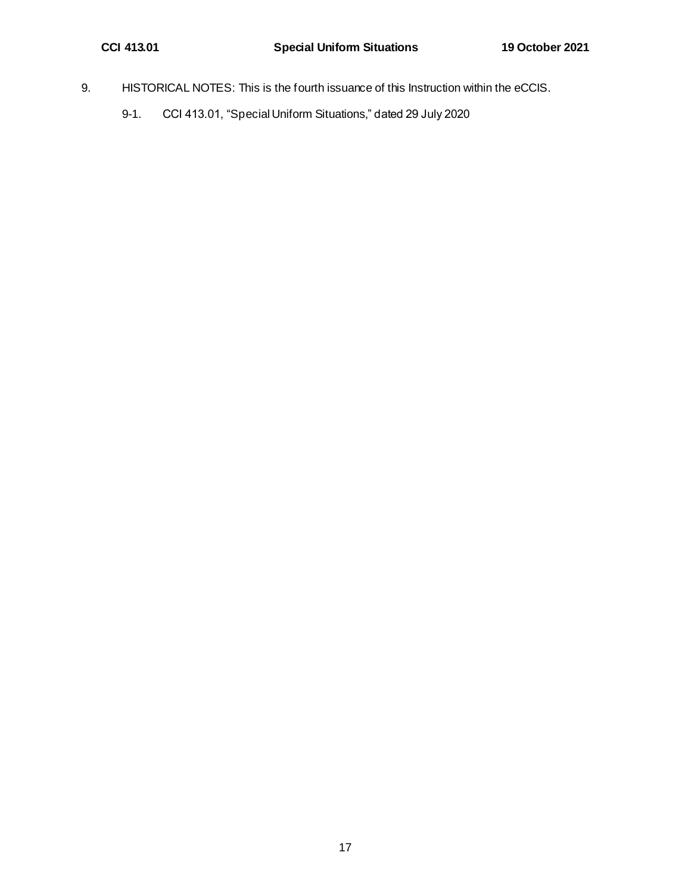- 9. HISTORICAL NOTES: This is the fourth issuance of this Instruction within the eCCIS.
	- 9-1. CCI 413.01, "Special Uniform Situations," dated 29 July 2020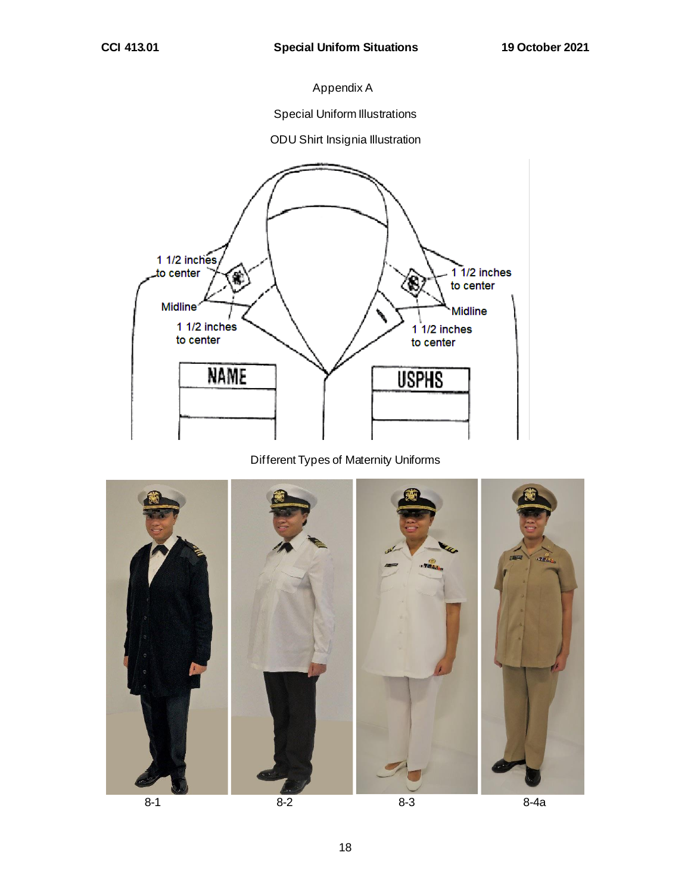# Appendix A

Special Uniform Illustrations

#### ODU Shirt Insignia Illustration



# Different Types of Maternity Uniforms



18